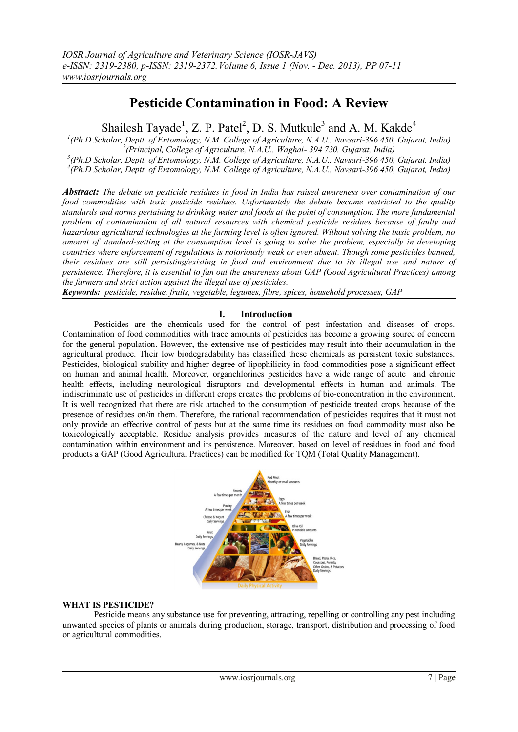# **Pesticide Contamination in Food: A Review**

Shailesh Tayade<sup>1</sup>, Z. P. Patel<sup>2</sup>, D. S. Mutkule<sup>3</sup> and A. M. Kakde<sup>4</sup>

 *(Ph.D Scholar, Deptt. of Entomology, N.M. College of Agriculture, N.A.U., Navsari-396 450, Gujarat, India) (Principal, College of Agriculture, N.A.U., Waghai- 394 730, Gujarat, India) (Ph.D Scholar, Deptt. of Entomology, N.M. College of Agriculture, N.A.U., Navsari-396 450, Gujarat, India) (Ph.D Scholar, Deptt. of Entomology, N.M. College of Agriculture, N.A.U., Navsari-396 450, Gujarat, India)*

*Abstract: The debate on pesticide residues in food in India has raised awareness over contamination of our food commodities with toxic pesticide residues. Unfortunately the debate became restricted to the quality standards and norms pertaining to drinking water and foods at the point of consumption. The more fundamental problem of contamination of all natural resources with chemical pesticide residues because of faulty and hazardous agricultural technologies at the farming level is often ignored. Without solving the basic problem, no amount of standard-setting at the consumption level is going to solve the problem, especially in developing countries where enforcement of regulations is notoriously weak or even absent. Though some pesticides banned, their residues are still persisting/existing in food and environment due to its illegal use and nature of persistence. Therefore, it is essential to fan out the awareness about GAP (Good Agricultural Practices) among the farmers and strict action against the illegal use of pesticides.* 

*Keywords: pesticide, residue, fruits, vegetable, legumes, fibre, spices, household processes, GAP* 

## **I. Introduction**

Pesticides are the chemicals used for the control of pest infestation and diseases of crops. Contamination of food commodities with trace amounts of pesticides has become a growing source of concern for the general population. However, the extensive use of pesticides may result into their accumulation in the agricultural produce. Their low biodegradability has classified these chemicals as persistent toxic substances. Pesticides, biological stability and higher degree of lipophilicity in food commodities pose a significant effect on human and animal health. Moreover, organchlorines pesticides have a wide range of acute and chronic health effects, including neurological disruptors and developmental effects in human and animals. The indiscriminate use of pesticides in different crops creates the problems of bio-concentration in the environment. It is well recognized that there are risk attached to the consumption of pesticide treated crops because of the presence of residues on/in them. Therefore, the rational recommendation of pesticides requires that it must not only provide an effective control of pests but at the same time its residues on food commodity must also be toxicologically acceptable. Residue analysis provides measures of the nature and level of any chemical contamination within environment and its persistence. Moreover, based on level of residues in food and food products a GAP (Good Agricultural Practices) can be modified for TQM (Total Quality Management).



## **WHAT IS PESTICIDE?**

Pesticide means any substance use for preventing, attracting, repelling or controlling any pest including unwanted species of plants or animals during production, storage, transport, distribution and processing of food or agricultural commodities.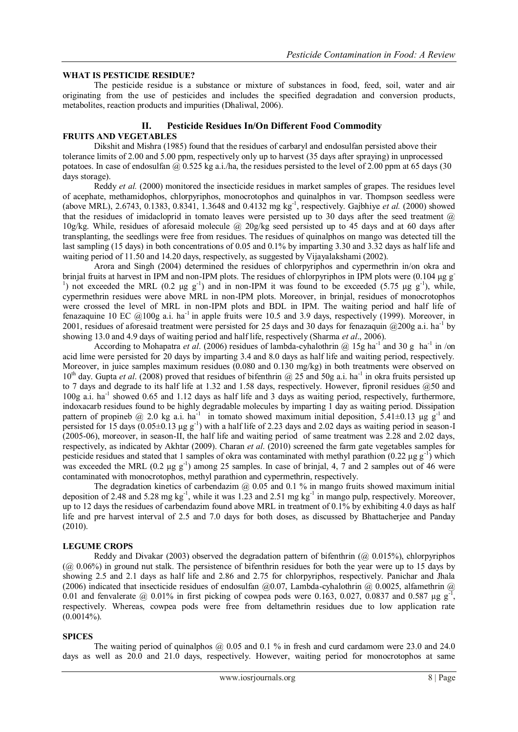### **WHAT IS PESTICIDE RESIDUE?**

The pesticide residue is a substance or mixture of substances in food, feed, soil, water and air originating from the use of pesticides and includes the specified degradation and conversion products, metabolites, reaction products and impurities (Dhaliwal, 2006).

## **II. Pesticide Residues In/On Different Food Commodity FRUITS AND VEGETABLES**

Dikshit and Mishra (1985) found that the residues of carbaryl and endosulfan persisted above their tolerance limits of 2.00 and 5.00 ppm, respectively only up to harvest (35 days after spraying) in unprocessed potatoes. In case of endosulfan  $\omega$  0.525 kg a.i./ha, the residues persisted to the level of 2.00 ppm at 65 days (30 days storage).

Reddy *et al.* (2000) monitored the insecticide residues in market samples of grapes. The residues level of acephate, methamidophos, chlorpyriphos, monocrotophos and quinalphos in var. Thompson seedless were (above MRL), 2.6743, 0.1383, 0.8341, 1.3648 and 0.4132 mg kg-1 , respectively. Gajbhiye *et al.* (2000) showed that the residues of imidacloprid in tomato leaves were persisted up to 30 days after the seed treatment  $(a)$ 10g/kg. While, residues of aforesaid molecule @ 20g/kg seed persisted up to 45 days and at 60 days after transplanting, the seedlings were free from residues. The residues of quinalphos on mango was detected till the last sampling (15 days) in both concentrations of 0.05 and 0.1% by imparting 3.30 and 3.32 days as half life and waiting period of 11.50 and 14.20 days, respectively, as suggested by Vijayalakshami (2002).

Arora and Singh (2004) determined the residues of chlorpyriphos and cypermethrin in/on okra and brinjal fruits at harvest in IPM and non-IPM plots. The residues of chlorpyriphos in IPM plots were (0.104 μg g-<sup>1</sup>) not exceeded the MRL (0.2 μg g<sup>-1</sup>) and in non-IPM it was found to be exceeded (5.75 μg g<sup>-1</sup>), while, cypermethrin residues were above MRL in non-IPM plots. Moreover, in brinjal, residues of monocrotophos were crossed the level of MRL in non-IPM plots and BDL in IPM. The waiting period and half life of fenazaquine 10 EC  $@100g$  a.i. ha<sup>-1</sup> in apple fruits were 10.5 and 3.9 days, respectively (1999). Moreover, in 2001, residues of aforesaid treatment were persisted for 25 days and 30 days for fenazaquin  $@200g$  a.i. ha<sup>-1</sup> by showing 13.0 and 4.9 days of waiting period and half life, respectively (Sharma *et al*., 2006).

According to Mohapatra *et al.* (2006) residues of lambda-cyhalothrin  $\omega$  15g ha<sup>-1</sup> and 30 g ha<sup>-1</sup> in /on acid lime were persisted for 20 days by imparting 3.4 and 8.0 days as half life and waiting period, respectively. Moreover, in juice samples maximum residues (0.080 and 0.130 mg/kg) in both treatments were observed on 10<sup>th</sup> day. Gupta et al. (2008) proved that residues of bifenthrin @ 25 and 50g a.i. ha<sup>-1</sup> in okra fruits persisted up to 7 days and degrade to its half life at 1.32 and 1.58 days, respectively. However, fipronil residues @50 and 100g a.i. ha<sup>-1</sup> showed 0.65 and 1.12 days as half life and 3 days as waiting period, respectively, furthermore, indoxacarb residues found to be highly degradable molecules by imparting 1 day as waiting period. Dissipation pattern of propineb @ 2.0 kg a.i. ha<sup>-1</sup> in tomato showed maximum initial deposition, 5.41±0.13 µg g<sup>-1</sup> and persisted for 15 days  $(0.05\pm0.13 \text{ µg g}^{-1})$  with a half life of 2.23 days and 2.02 days as waiting period in season-I (2005-06), moreover, in season-II, the half life and waiting period of same treatment was 2.28 and 2.02 days, respectively, as indicated by Akhtar (2009). Charan *et al*. (2010) screened the farm gate vegetables samples for pesticide residues and stated that 1 samples of okra was contaminated with methyl parathion  $(0.22 \mu g g^{-1})$  which was exceeded the MRL  $(0.2 \mu g g^{-1})$  among 25 samples. In case of brinjal, 4, 7 and 2 samples out of 46 were contaminated with monocrotophos, methyl parathion and cypermethrin, respectively.

The degradation kinetics of carbendazim  $\omega$  0.05 and 0.1 % in mango fruits showed maximum initial deposition of 2.48 and 5.28 mg  $kg^{-1}$ , while it was 1.23 and 2.51 mg  $kg^{-1}$  in mango pulp, respectively. Moreover, up to 12 days the residues of carbendazim found above MRL in treatment of 0.1% by exhibiting 4.0 days as half life and pre harvest interval of 2.5 and 7.0 days for both doses, as discussed by Bhattacherjee and Panday (2010).

## **LEGUME CROPS**

Reddy and Divakar (2003) observed the degradation pattern of bifenthrin ( $\omega$  0.015%), chlorpyriphos (@ 0.06%) in ground nut stalk. The persistence of bifenthrin residues for both the year were up to 15 days by showing 2.5 and 2.1 days as half life and 2.86 and 2.75 for chlorpyriphos, respectively. Panichar and Jhala (2006) indicated that insecticide residues of endosulfan  $(20.07,$  Lambda-cyhalothrin  $(20.0025,$  alfamethrin  $(20.0025,$ 0.01 and fenvalerate @ 0.01% in first picking of cowpea pods were 0.163, 0.027, 0.0837 and 0.587  $\mu$ g g<sup>-1</sup>, respectively. Whereas, cowpea pods were free from deltamethrin residues due to low application rate  $(0.0014\%)$ .

#### **SPICES**

The waiting period of quinalphos  $\omega$  0.05 and 0.1 % in fresh and curd cardamom were 23.0 and 24.0 days as well as 20.0 and 21.0 days, respectively. However, waiting period for monocrotophos at same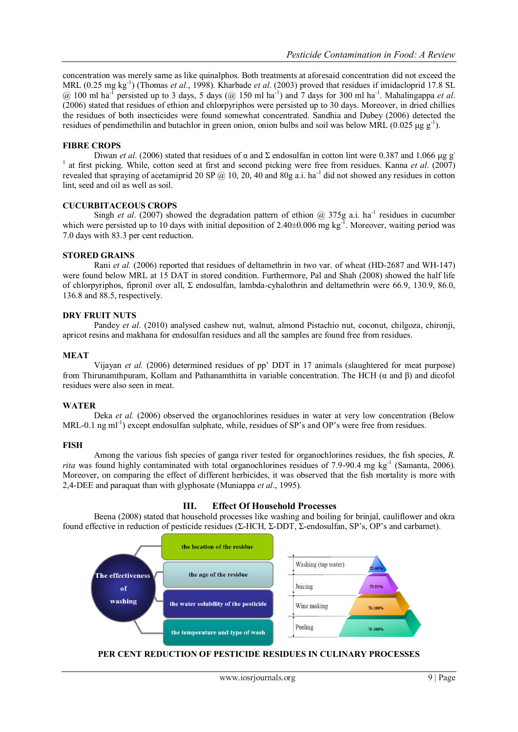concentration was merely same as like quinalphos. Both treatments at aforesaid concentration did not exceed the MRL (0.25 mg kg-1 ) (Thomas *et al*., 1998). Kharbade *et al*. (2003) proved that residues if imidacloprid 17.8 SL  $\omega$  100 ml ha<sup>-T</sup> persisted up to 3 days, 5 days ( $\omega$  150 ml ha<sup>-1</sup>) and 7 days for 300 ml ha<sup>-1</sup>. Mahalingappa *et al.* (2006) stated that residues of ethion and chlorpyriphos were persisted up to 30 days. Moreover, in dried chillies the residues of both insecticides were found somewhat concentrated. Sandhia and Dubey (2006) detected the residues of pendimethilin and butachlor in green onion, onion bulbs and soil was below MRL (0.025  $\mu$ g g<sup>-1</sup>).

### **FIBRE CROPS**

Diwan *et al.* (2006) stated that residues of α and Σ endosulfan in cotton lint were 0.387 and 1.066 μg g<sup>-</sup> <sup>1</sup> at first picking. While, cotton seed at first and second picking were free from residues. Kanna *et al.* (2007) revealed that spraying of acetamiprid 20 SP  $@$  10, 20, 40 and 80g a.i. ha<sup>-1</sup> did not showed any residues in cotton lint, seed and oil as well as soil.

## **CUCURBITACEOUS CROPS**

Singh *et al.* (2007) showed the degradation pattern of ethion  $\omega$  375g a.i. ha<sup>-1</sup> residues in cucumber which were persisted up to 10 days with initial deposition of  $2.40\pm0.006$  mg kg<sup>-1</sup>. Moreover, waiting period was 7.0 days with 83.3 per cent reduction.

#### **STORED GRAINS**

Rani *et al.* (2006) reported that residues of deltamethrin in two var. of wheat (HD-2687 and WH-147) were found below MRL at 15 DAT in stored condition. Furthermore, Pal and Shah (2008) showed the half life of chlorpyriphos, fipronil over all, Σ endosulfan, lambda-cyhalothrin and deltamethrin were 66.9, 130.9, 86.0, 136.8 and 88.5, respectively.

#### **DRY FRUIT NUTS**

Pandey *et al*. (2010) analysed cashew nut, walnut, almond Pistachio nut, coconut, chilgoza, chironji, apricot resins and makhana for endosulfan residues and all the samples are found free from residues.

#### **MEAT**

Vijayan *et al.* (2006) determined residues of pp' DDT in 17 animals (slaughtered for meat purpose) from Thirunamthpuram, Kollam and Pathanamthitta in variable concentration. The HCH (α and β) and dicofol residues were also seen in meat.

#### **WATER**

Deka *et al.* (2006) observed the organochlorines residues in water at very low concentration (Below MRL-0.1 ng ml<sup>-1</sup>) except endosulfan sulphate, while, residues of SP's and OP's were free from residues.

#### **FISH**

Among the various fish species of ganga river tested for organochlorines residues, the fish species, *R.*  rita was found highly contaminated with total organochlorines residues of 7.9-90.4 mg kg<sup>-1</sup> (Samanta, 2006). Moreover, on comparing the effect of different herbicides, it was observed that the fish mortality is more with 2,4-DEE and paraquat than with glyphosate (Muniappa *et al*., 1995).

## **III. Effect Of Household Processes**

Beena (2008) stated that household processes like washing and boiling for brinjal, cauliflower and okra found effective in reduction of pesticide residues (Σ-HCH, Σ-DDT, Σ-endosulfan, SP's, OP's and carbamet).



#### **PER CENT REDUCTION OF PESTICIDE RESIDUES IN CULINARY PROCESSES**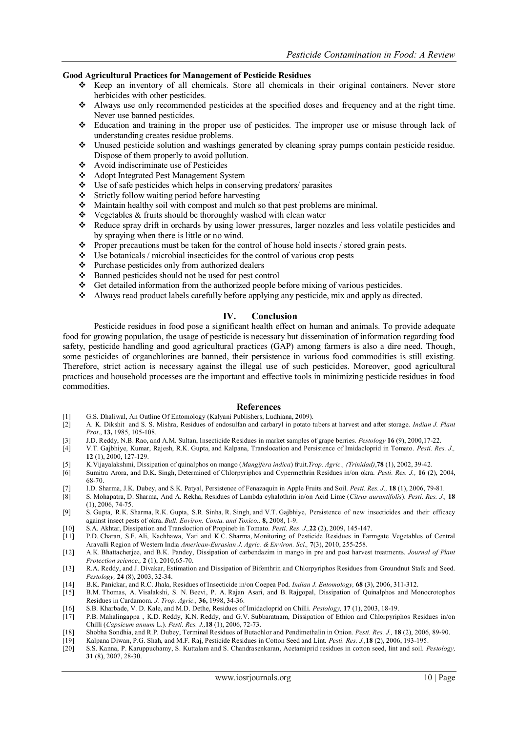#### **Good Agricultural Practices for Management of Pesticide Residues**

- $\div$  Keep an inventory of all chemicals. Store all chemicals in their original containers. Never store herbicides with other pesticides.
- Always use only recommended pesticides at the specified doses and frequency and at the right time. Never use banned pesticides.
- Education and training in the proper use of pesticides. The improper use or misuse through lack of understanding creates residue problems.
- Unused pesticide solution and washings generated by cleaning spray pumps contain pesticide residue. Dispose of them properly to avoid pollution.
- Avoid indiscriminate use of Pesticides
- Adopt Integrated Pest Management System
- $\bullet$  Use of safe pesticides which helps in conserving predators/ parasites
- $\div$  Strictly follow waiting period before harvesting
- Maintain healthy soil with compost and mulch so that pest problems are minimal.
- $\bullet$  Vegetables & fruits should be thoroughly washed with clean water
- Reduce spray drift in orchards by using lower pressures, larger nozzles and less volatile pesticides and by spraying when there is little or no wind.
- Proper precautions must be taken for the control of house hold insects  $/$  stored grain pests.
- $\triangleleft$  Use botanicals / microbial insecticides for the control of various crop pests
- Purchase pesticides only from authorized dealers
- Banned pesticides should not be used for pest control
- $\div$  Get detailed information from the authorized people before mixing of various pesticides.
- Always read product labels carefully before applying any pesticide, mix and apply as directed.

#### **IV. Conclusion**

Pesticide residues in food pose a significant health effect on human and animals. To provide adequate food for growing population, the usage of pesticide is necessary but dissemination of information regarding food safety, pesticide handling and good agricultural practices (GAP) among farmers is also a dire need. Though, some pesticides of organchlorines are banned, their persistence in various food commodities is still existing. Therefore, strict action is necessary against the illegal use of such pesticides. Moreover, good agricultural practices and household processes are the important and effective tools in minimizing pesticide residues in food commodities.

#### **References**

- [1] G.S. Dhaliwal, An Outline Of Entomology (Kalyani Publishers, Ludhiana, 2009).
- [2] A. K. Dikshit and S. S. Mishra, Residues of endosulfan and carbaryl in potato tubers at harvest and after storage. *Indian J. Plant Prot*., **13,** 1985, 105-108.
- [3] J.D. Reddy, N.B. Rao, and A.M. Sultan, Insecticide Residues in market samples of grape berries. *Pestology* **16** (9), 2000,17-22.
- [4] V.T. Gajbhiye, Kumar, Rajesh, R.K. Gupta, and Kalpana, Translocation and Persistence of Imidacloprid in Tomato. *Pesti. Res. J.,*  **12** (1), 2000, 127-129.
- [5] K.Vijayalakshmi, Dissipation of quinalphos on mango (*Mangifera indica*) fruit.*Trop. Agric., (Trinidad)*,**78** (1), 2002, 39-42.
- [6] Sumitra Arora, and D.K. Singh, Determined of Chlorpyriphos and Cypermethrin Residues in/on okra. *Pesti. Res. J.,* **16** (2), 2004, 68-70.
- [7] I.D. Sharma, J.K. Dubey, and S.K. Patyal, Persistence of Fenazaquin in Apple Fruits and Soil. *Pesti. Res. J.,* **18** (1), 2006, 79-81.
- [8] S. Mohapatra, D. Sharma, And A. Rekha, Residues of Lambda cyhalothrin in/on Acid Lime (*Citrus aurantifolis*). *Pesti. Res. J.,* **18**  (1), 2006, 74-75.
- [9] S. Gupta, R.K. Sharma, R.K. Gupta, S.R. Sinha, R. Singh, and V.T. Gajbhiye, Persistence of new insecticides and their efficacy against insect pests of okra**.** *Bull. Environ. Conta. and Toxico.,* **8,** 2008, 1-9.
- [10] S.A. Akhtar, Dissipation and Transloction of Propineb in Tomato. *Pesti. Res. J.,***22** (2), 2009, 145-147.
- [11] P.D. Charan, S.F. Ali, Kachhawa, Yati and K.C. Sharma, Monitoring of Pesticide Residues in Farmgate Vegetables of Central Aravalli Region of Western India *American-Eurasian J. Agric. & Environ. Sci.,* **7**(3), 2010, 255-258.
- [12] A.K. Bhattacherjee, and B.K. Pandey, Dissipation of carbendazim in mango in pre and post harvest treatments. *Journal of Plant Protection science.,* **2** (1), 2010,65-70.
- [13] R.A. Reddy, and J. Divakar, Estimation and Dissipation of Bifenthrin and Chlorpyriphos Residues from Groundnut Stalk and Seed. *Pestology,* **24** (8), 2003, 32-34.
- [14] B.K. Panickar, and R.C. Jhala, Residues of Insecticide in/on Coepea Pod. *Indian J. Entomology,* **68** (3), 2006, 311-312.
- [15] B.M. Thomas, A. Visalakshi, S. N. Beevi, P. A. Rajan Asari, and B. Rajgopal, Dissipation of Quinalphos and Monocrotophos Residues in Cardamom. *J. Trop. Agric.,* **36,** 1998, 34-36.
- [16] S.B. Kharbade, V. D. Kale, and M.D. Dethe, Residues of Imidacloprid on Chilli. *Pestology,* **17** (1), 2003, 18-19.
- [17] P.B. Mahalingappa , K.D. Reddy, K.N. Reddy, and G.V. Subbaratnam, Dissipation of Ethion and Chlorpyriphos Residues in/on Chilli (*Capsicum annum* L.). *Pesti. Res. J.,***18** (1), 2006, 72-73.
- [18] Shobha Sondhia, and R.P. Dubey, Terminal Residues of Butachlor and Pendimethalin in Onion. *Pesti. Res. J.,* **18** (2), 2006, 89-90.
- [19] Kalpana Diwan, P.G. Shah, and M.F. Raj, Pesticide Residues in Cotton Seed and Lint. *Pesti. Res. J.,***18** (2), 2006, 193-195.
- [20] S.S. Kanna, P. Karuppuchamy, S. Kuttalam and S. Chandrasenkaran, Acetamiprid residues in cotton seed, lint and soil. *Pestology,*  **31** (8), 2007, 28-30.